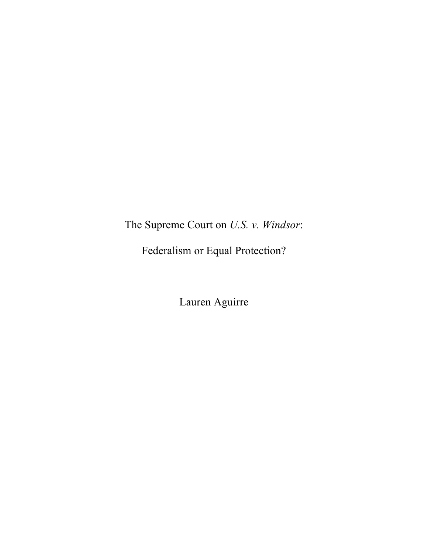The Supreme Court on *U.S. v. Windsor*:

Federalism or Equal Protection?

Lauren Aguirre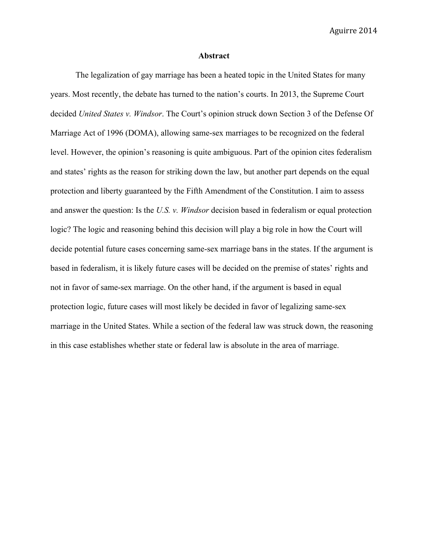### **Abstract**

The legalization of gay marriage has been a heated topic in the United States for many years. Most recently, the debate has turned to the nation's courts. In 2013, the Supreme Court decided *United States v. Windsor*. The Court's opinion struck down Section 3 of the Defense Of Marriage Act of 1996 (DOMA), allowing same-sex marriages to be recognized on the federal level. However, the opinion's reasoning is quite ambiguous. Part of the opinion cites federalism and states' rights as the reason for striking down the law, but another part depends on the equal protection and liberty guaranteed by the Fifth Amendment of the Constitution. I aim to assess and answer the question: Is the *U.S. v. Windsor* decision based in federalism or equal protection logic? The logic and reasoning behind this decision will play a big role in how the Court will decide potential future cases concerning same-sex marriage bans in the states. If the argument is based in federalism, it is likely future cases will be decided on the premise of states' rights and not in favor of same-sex marriage. On the other hand, if the argument is based in equal protection logic, future cases will most likely be decided in favor of legalizing same-sex marriage in the United States. While a section of the federal law was struck down, the reasoning in this case establishes whether state or federal law is absolute in the area of marriage.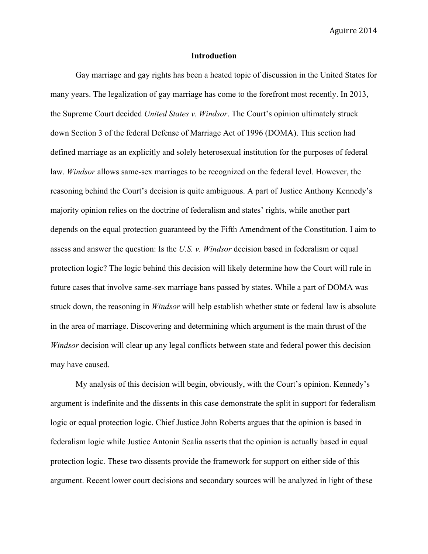### **Introduction**

Gay marriage and gay rights has been a heated topic of discussion in the United States for many years. The legalization of gay marriage has come to the forefront most recently. In 2013, the Supreme Court decided *United States v. Windsor*. The Court's opinion ultimately struck down Section 3 of the federal Defense of Marriage Act of 1996 (DOMA). This section had defined marriage as an explicitly and solely heterosexual institution for the purposes of federal law. *Windsor* allows same-sex marriages to be recognized on the federal level. However, the reasoning behind the Court's decision is quite ambiguous. A part of Justice Anthony Kennedy's majority opinion relies on the doctrine of federalism and states' rights, while another part depends on the equal protection guaranteed by the Fifth Amendment of the Constitution. I aim to assess and answer the question: Is the *U.S. v. Windsor* decision based in federalism or equal protection logic? The logic behind this decision will likely determine how the Court will rule in future cases that involve same-sex marriage bans passed by states. While a part of DOMA was struck down, the reasoning in *Windsor* will help establish whether state or federal law is absolute in the area of marriage. Discovering and determining which argument is the main thrust of the *Windsor* decision will clear up any legal conflicts between state and federal power this decision may have caused.

My analysis of this decision will begin, obviously, with the Court's opinion. Kennedy's argument is indefinite and the dissents in this case demonstrate the split in support for federalism logic or equal protection logic. Chief Justice John Roberts argues that the opinion is based in federalism logic while Justice Antonin Scalia asserts that the opinion is actually based in equal protection logic. These two dissents provide the framework for support on either side of this argument. Recent lower court decisions and secondary sources will be analyzed in light of these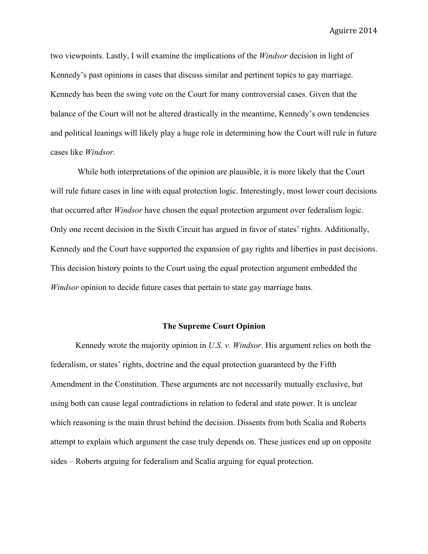two viewpoints. Lastly, I will examine the implications of the *Windsor* decision in light of Kennedy's past opinions in cases that discuss similar and pertinent topics to gay marriage. Kennedy has been the swing vote on the Court for many controversial cases. Given that the balance of the Court will not be altered drastically in the meantime, Kennedy's own tendencies and political leanings will likely play a huge role in determining how the Court will rule in future cases like *Windsor*.

While both interpretations of the opinion are plausible, it is more likely that the Court will rule future cases in line with equal protection logic. Interestingly, most lower court decisions that occurred after *Windsor* have chosen the equal protection argument over federalism logic. Only one recent decision in the Sixth Circuit has argued in favor of states' rights. Additionally, Kennedy and the Court have supported the expansion of gay rights and liberties in past decisions. This decision history points to the Court using the equal protection argument embedded the *Windsor* opinion to decide future cases that pertain to state gay marriage bans.

#### **The Supreme Court Opinion**

Kennedy wrote the majority opinion in *U.S. v. Windsor*. His argument relies on both the federalism, or states' rights, doctrine and the equal protection guaranteed by the Fifth Amendment in the Constitution. These arguments are not necessarily mutually exclusive, but using both can cause legal contradictions in relation to federal and state power. It is unclear which reasoning is the main thrust behind the decision. Dissents from both Scalia and Roberts attempt to explain which argument the case truly depends on. These justices end up on opposite sides – Roberts arguing for federalism and Scalia arguing for equal protection.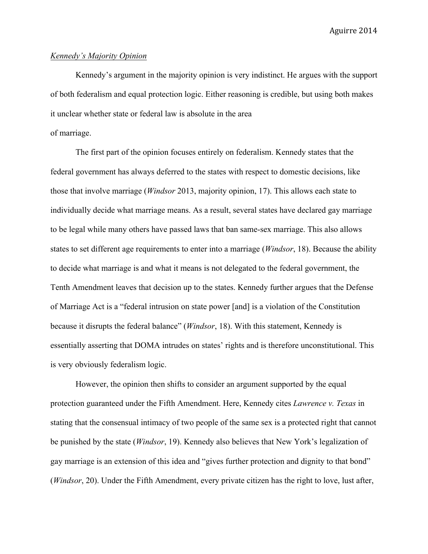#### *Kennedy's Majority Opinion*

Kennedy's argument in the majority opinion is very indistinct. He argues with the support of both federalism and equal protection logic. Either reasoning is credible, but using both makes it unclear whether state or federal law is absolute in the area

# of marriage.

The first part of the opinion focuses entirely on federalism. Kennedy states that the federal government has always deferred to the states with respect to domestic decisions, like those that involve marriage (*Windsor* 2013, majority opinion, 17). This allows each state to individually decide what marriage means. As a result, several states have declared gay marriage to be legal while many others have passed laws that ban same-sex marriage. This also allows states to set different age requirements to enter into a marriage (*Windsor*, 18). Because the ability to decide what marriage is and what it means is not delegated to the federal government, the Tenth Amendment leaves that decision up to the states. Kennedy further argues that the Defense of Marriage Act is a "federal intrusion on state power [and] is a violation of the Constitution because it disrupts the federal balance" (*Windsor*, 18). With this statement, Kennedy is essentially asserting that DOMA intrudes on states' rights and is therefore unconstitutional. This is very obviously federalism logic.

However, the opinion then shifts to consider an argument supported by the equal protection guaranteed under the Fifth Amendment. Here, Kennedy cites *Lawrence v. Texas* in stating that the consensual intimacy of two people of the same sex is a protected right that cannot be punished by the state (*Windsor*, 19). Kennedy also believes that New York's legalization of gay marriage is an extension of this idea and "gives further protection and dignity to that bond" (*Windsor*, 20). Under the Fifth Amendment, every private citizen has the right to love, lust after,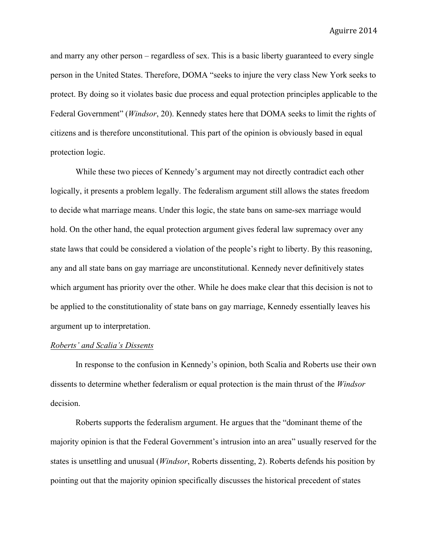and marry any other person – regardless of sex. This is a basic liberty guaranteed to every single person in the United States. Therefore, DOMA "seeks to injure the very class New York seeks to protect. By doing so it violates basic due process and equal protection principles applicable to the Federal Government" (*Windsor*, 20). Kennedy states here that DOMA seeks to limit the rights of citizens and is therefore unconstitutional. This part of the opinion is obviously based in equal protection logic.

While these two pieces of Kennedy's argument may not directly contradict each other logically, it presents a problem legally. The federalism argument still allows the states freedom to decide what marriage means. Under this logic, the state bans on same-sex marriage would hold. On the other hand, the equal protection argument gives federal law supremacy over any state laws that could be considered a violation of the people's right to liberty. By this reasoning, any and all state bans on gay marriage are unconstitutional. Kennedy never definitively states which argument has priority over the other. While he does make clear that this decision is not to be applied to the constitutionality of state bans on gay marriage, Kennedy essentially leaves his argument up to interpretation.

#### *Roberts' and Scalia's Dissents*

In response to the confusion in Kennedy's opinion, both Scalia and Roberts use their own dissents to determine whether federalism or equal protection is the main thrust of the *Windsor* decision.

Roberts supports the federalism argument. He argues that the "dominant theme of the majority opinion is that the Federal Government's intrusion into an area" usually reserved for the states is unsettling and unusual (*Windsor*, Roberts dissenting, 2). Roberts defends his position by pointing out that the majority opinion specifically discusses the historical precedent of states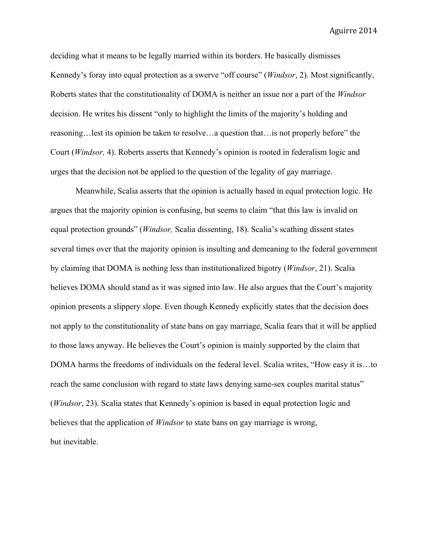deciding what it means to be legally married within its borders. He basically dismisses Kennedy's foray into equal protection as a swerve "off course" (*Windsor*, 2). Most significantly, Roberts states that the constitutionality of DOMA is neither an issue nor a part of the *Windsor* decision. He writes his dissent "only to highlight the limits of the majority's holding and reasoning…lest its opinion be taken to resolve…a question that…is not properly before" the Court (*Windsor,* 4). Roberts asserts that Kennedy's opinion is rooted in federalism logic and urges that the decision not be applied to the question of the legality of gay marriage.

Meanwhile, Scalia asserts that the opinion is actually based in equal protection logic. He argues that the majority opinion is confusing, but seems to claim "that this law is invalid on equal protection grounds" (*Windsor,* Scalia dissenting, 18). Scalia's scathing dissent states several times over that the majority opinion is insulting and demeaning to the federal government by claiming that DOMA is nothing less than institutionalized bigotry (*Windsor*, 21). Scalia believes DOMA should stand as it was signed into law. He also argues that the Court's majority opinion presents a slippery slope. Even though Kennedy explicitly states that the decision does not apply to the constitutionality of state bans on gay marriage, Scalia fears that it will be applied to those laws anyway. He believes the Court's opinion is mainly supported by the claim that DOMA harms the freedoms of individuals on the federal level. Scalia writes, "How easy it is…to reach the same conclusion with regard to state laws denying same-sex couples marital status" (*Windsor*, 23). Scalia states that Kennedy's opinion is based in equal protection logic and believes that the application of *Windsor* to state bans on gay marriage is wrong, but inevitable.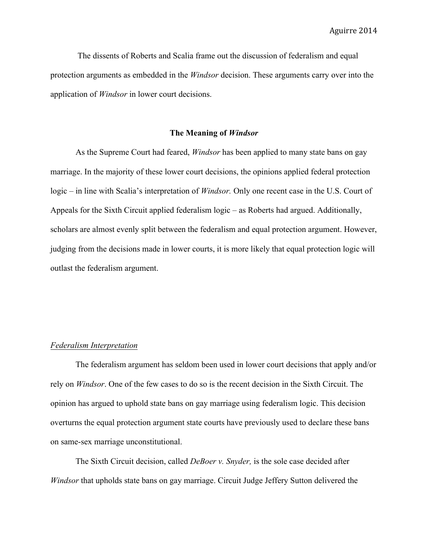The dissents of Roberts and Scalia frame out the discussion of federalism and equal protection arguments as embedded in the *Windsor* decision. These arguments carry over into the application of *Windsor* in lower court decisions.

#### **The Meaning of** *Windsor*

As the Supreme Court had feared, *Windsor* has been applied to many state bans on gay marriage. In the majority of these lower court decisions, the opinions applied federal protection logic – in line with Scalia's interpretation of *Windsor.* Only one recent case in the U.S. Court of Appeals for the Sixth Circuit applied federalism logic – as Roberts had argued. Additionally, scholars are almost evenly split between the federalism and equal protection argument. However, judging from the decisions made in lower courts, it is more likely that equal protection logic will outlast the federalism argument.

### *Federalism Interpretation*

The federalism argument has seldom been used in lower court decisions that apply and/or rely on *Windsor*. One of the few cases to do so is the recent decision in the Sixth Circuit. The opinion has argued to uphold state bans on gay marriage using federalism logic. This decision overturns the equal protection argument state courts have previously used to declare these bans on same-sex marriage unconstitutional.

The Sixth Circuit decision, called *DeBoer v. Snyder,* is the sole case decided after *Windsor* that upholds state bans on gay marriage. Circuit Judge Jeffery Sutton delivered the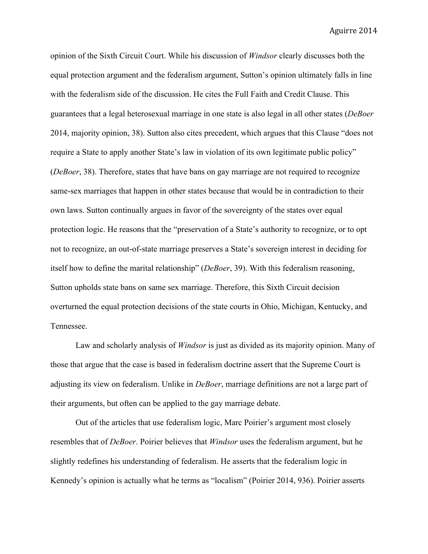opinion of the Sixth Circuit Court. While his discussion of *Windsor* clearly discusses both the equal protection argument and the federalism argument, Sutton's opinion ultimately falls in line with the federalism side of the discussion. He cites the Full Faith and Credit Clause. This guarantees that a legal heterosexual marriage in one state is also legal in all other states (*DeBoer* 2014, majority opinion, 38). Sutton also cites precedent, which argues that this Clause "does not require a State to apply another State's law in violation of its own legitimate public policy" (*DeBoer*, 38). Therefore, states that have bans on gay marriage are not required to recognize same-sex marriages that happen in other states because that would be in contradiction to their own laws. Sutton continually argues in favor of the sovereignty of the states over equal protection logic. He reasons that the "preservation of a State's authority to recognize, or to opt not to recognize, an out-of-state marriage preserves a State's sovereign interest in deciding for itself how to define the marital relationship" (*DeBoer*, 39). With this federalism reasoning, Sutton upholds state bans on same sex marriage. Therefore, this Sixth Circuit decision overturned the equal protection decisions of the state courts in Ohio, Michigan, Kentucky, and Tennessee.

Law and scholarly analysis of *Windsor* is just as divided as its majority opinion. Many of those that argue that the case is based in federalism doctrine assert that the Supreme Court is adjusting its view on federalism. Unlike in *DeBoer*, marriage definitions are not a large part of their arguments, but often can be applied to the gay marriage debate.

Out of the articles that use federalism logic, Marc Poirier's argument most closely resembles that of *DeBoer*. Poirier believes that *Windsor* uses the federalism argument, but he slightly redefines his understanding of federalism. He asserts that the federalism logic in Kennedy's opinion is actually what he terms as "localism" (Poirier 2014, 936). Poirier asserts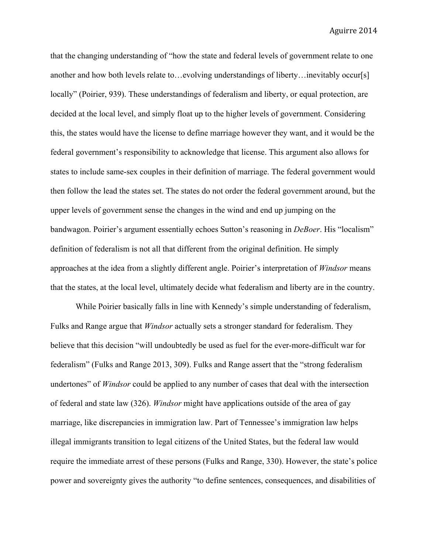that the changing understanding of "how the state and federal levels of government relate to one another and how both levels relate to…evolving understandings of liberty…inevitably occur[s] locally" (Poirier, 939). These understandings of federalism and liberty, or equal protection, are decided at the local level, and simply float up to the higher levels of government. Considering this, the states would have the license to define marriage however they want, and it would be the federal government's responsibility to acknowledge that license. This argument also allows for states to include same-sex couples in their definition of marriage. The federal government would then follow the lead the states set. The states do not order the federal government around, but the upper levels of government sense the changes in the wind and end up jumping on the bandwagon. Poirier's argument essentially echoes Sutton's reasoning in *DeBoer*. His "localism" definition of federalism is not all that different from the original definition. He simply approaches at the idea from a slightly different angle. Poirier's interpretation of *Windsor* means that the states, at the local level, ultimately decide what federalism and liberty are in the country.

While Poirier basically falls in line with Kennedy's simple understanding of federalism, Fulks and Range argue that *Windsor* actually sets a stronger standard for federalism. They believe that this decision "will undoubtedly be used as fuel for the ever-more-difficult war for federalism" (Fulks and Range 2013, 309). Fulks and Range assert that the "strong federalism undertones" of *Windsor* could be applied to any number of cases that deal with the intersection of federal and state law (326). *Windsor* might have applications outside of the area of gay marriage, like discrepancies in immigration law. Part of Tennessee's immigration law helps illegal immigrants transition to legal citizens of the United States, but the federal law would require the immediate arrest of these persons (Fulks and Range, 330). However, the state's police power and sovereignty gives the authority "to define sentences, consequences, and disabilities of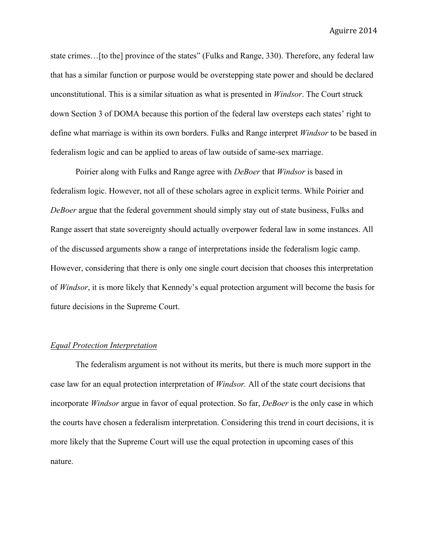state crimes…[to the] province of the states" (Fulks and Range, 330). Therefore, any federal law that has a similar function or purpose would be overstepping state power and should be declared unconstitutional. This is a similar situation as what is presented in *Windsor*. The Court struck down Section 3 of DOMA because this portion of the federal law oversteps each states' right to define what marriage is within its own borders. Fulks and Range interpret *Windsor* to be based in federalism logic and can be applied to areas of law outside of same-sex marriage.

Poirier along with Fulks and Range agree with *DeBoer* that *Windsor* is based in federalism logic. However, not all of these scholars agree in explicit terms. While Poirier and *DeBoer* argue that the federal government should simply stay out of state business, Fulks and Range assert that state sovereignty should actually overpower federal law in some instances. All of the discussed arguments show a range of interpretations inside the federalism logic camp. However, considering that there is only one single court decision that chooses this interpretation of *Windsor*, it is more likely that Kennedy's equal protection argument will become the basis for future decisions in the Supreme Court.

# *Equal Protection Interpretation*

The federalism argument is not without its merits, but there is much more support in the case law for an equal protection interpretation of *Windsor.* All of the state court decisions that incorporate *Windsor* argue in favor of equal protection. So far, *DeBoer* is the only case in which the courts have chosen a federalism interpretation. Considering this trend in court decisions, it is more likely that the Supreme Court will use the equal protection in upcoming cases of this nature.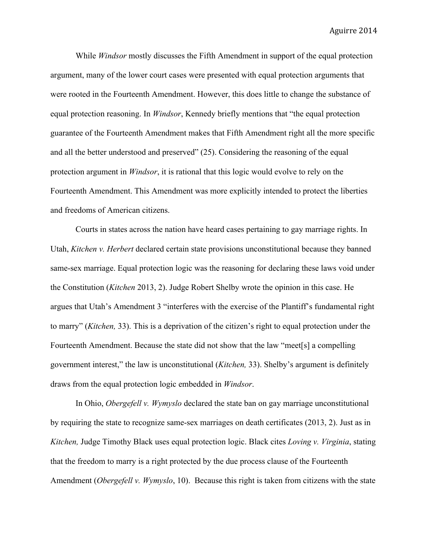While *Windsor* mostly discusses the Fifth Amendment in support of the equal protection argument, many of the lower court cases were presented with equal protection arguments that were rooted in the Fourteenth Amendment. However, this does little to change the substance of equal protection reasoning. In *Windsor*, Kennedy briefly mentions that "the equal protection guarantee of the Fourteenth Amendment makes that Fifth Amendment right all the more specific and all the better understood and preserved" (25). Considering the reasoning of the equal protection argument in *Windsor*, it is rational that this logic would evolve to rely on the Fourteenth Amendment. This Amendment was more explicitly intended to protect the liberties and freedoms of American citizens.

Courts in states across the nation have heard cases pertaining to gay marriage rights. In Utah, *Kitchen v. Herbert* declared certain state provisions unconstitutional because they banned same-sex marriage. Equal protection logic was the reasoning for declaring these laws void under the Constitution (*Kitchen* 2013, 2). Judge Robert Shelby wrote the opinion in this case. He argues that Utah's Amendment 3 "interferes with the exercise of the Plantiff's fundamental right to marry" (*Kitchen,* 33). This is a deprivation of the citizen's right to equal protection under the Fourteenth Amendment. Because the state did not show that the law "meet[s] a compelling government interest," the law is unconstitutional (*Kitchen,* 33). Shelby's argument is definitely draws from the equal protection logic embedded in *Windsor*.

In Ohio, *Obergefell v. Wymyslo* declared the state ban on gay marriage unconstitutional by requiring the state to recognize same-sex marriages on death certificates (2013, 2). Just as in *Kitchen,* Judge Timothy Black uses equal protection logic. Black cites *Loving v. Virginia*, stating that the freedom to marry is a right protected by the due process clause of the Fourteenth Amendment (*Obergefell v. Wymyslo*, 10). Because this right is taken from citizens with the state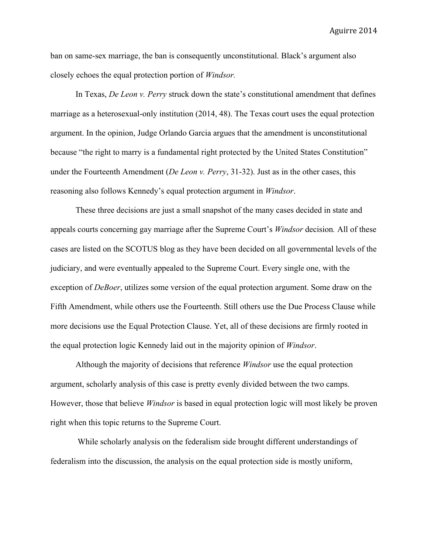ban on same-sex marriage, the ban is consequently unconstitutional. Black's argument also closely echoes the equal protection portion of *Windsor.*

In Texas, *De Leon v. Perry* struck down the state's constitutional amendment that defines marriage as a heterosexual-only institution (2014, 48). The Texas court uses the equal protection argument. In the opinion, Judge Orlando Garcia argues that the amendment is unconstitutional because "the right to marry is a fundamental right protected by the United States Constitution" under the Fourteenth Amendment (*De Leon v. Perry*, 31-32). Just as in the other cases, this reasoning also follows Kennedy's equal protection argument in *Windsor*.

These three decisions are just a small snapshot of the many cases decided in state and appeals courts concerning gay marriage after the Supreme Court's *Windsor* decision*.* All of these cases are listed on the SCOTUS blog as they have been decided on all governmental levels of the judiciary, and were eventually appealed to the Supreme Court. Every single one, with the exception of *DeBoer*, utilizes some version of the equal protection argument. Some draw on the Fifth Amendment, while others use the Fourteenth. Still others use the Due Process Clause while more decisions use the Equal Protection Clause. Yet, all of these decisions are firmly rooted in the equal protection logic Kennedy laid out in the majority opinion of *Windsor*.

Although the majority of decisions that reference *Windsor* use the equal protection argument, scholarly analysis of this case is pretty evenly divided between the two camps. However, those that believe *Windsor* is based in equal protection logic will most likely be proven right when this topic returns to the Supreme Court.

While scholarly analysis on the federalism side brought different understandings of federalism into the discussion, the analysis on the equal protection side is mostly uniform,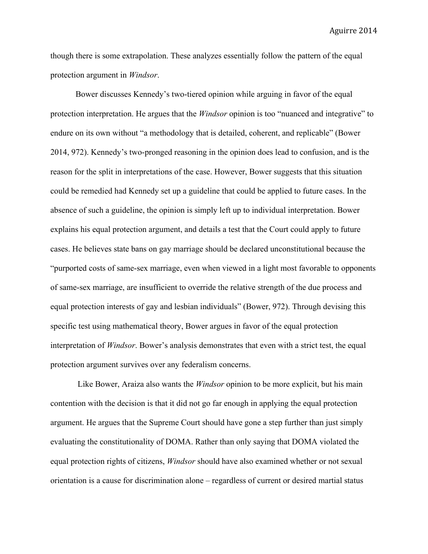though there is some extrapolation. These analyzes essentially follow the pattern of the equal protection argument in *Windsor*.

Bower discusses Kennedy's two-tiered opinion while arguing in favor of the equal protection interpretation. He argues that the *Windsor* opinion is too "nuanced and integrative" to endure on its own without "a methodology that is detailed, coherent, and replicable" (Bower 2014, 972). Kennedy's two-pronged reasoning in the opinion does lead to confusion, and is the reason for the split in interpretations of the case. However, Bower suggests that this situation could be remedied had Kennedy set up a guideline that could be applied to future cases. In the absence of such a guideline, the opinion is simply left up to individual interpretation. Bower explains his equal protection argument, and details a test that the Court could apply to future cases. He believes state bans on gay marriage should be declared unconstitutional because the "purported costs of same-sex marriage, even when viewed in a light most favorable to opponents of same-sex marriage, are insufficient to override the relative strength of the due process and equal protection interests of gay and lesbian individuals" (Bower, 972). Through devising this specific test using mathematical theory, Bower argues in favor of the equal protection interpretation of *Windsor*. Bower's analysis demonstrates that even with a strict test, the equal protection argument survives over any federalism concerns.

Like Bower, Araiza also wants the *Windsor* opinion to be more explicit, but his main contention with the decision is that it did not go far enough in applying the equal protection argument. He argues that the Supreme Court should have gone a step further than just simply evaluating the constitutionality of DOMA. Rather than only saying that DOMA violated the equal protection rights of citizens, *Windsor* should have also examined whether or not sexual orientation is a cause for discrimination alone – regardless of current or desired martial status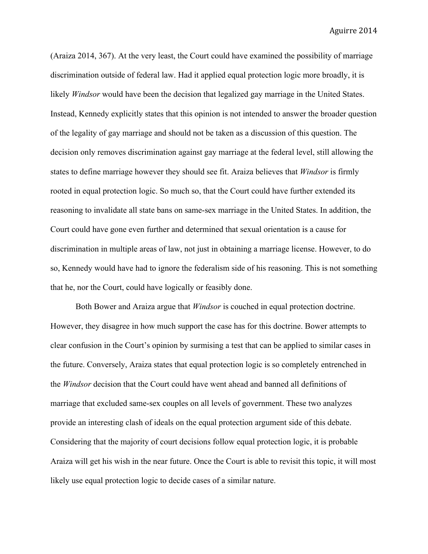(Araiza 2014, 367). At the very least, the Court could have examined the possibility of marriage discrimination outside of federal law. Had it applied equal protection logic more broadly, it is likely *Windsor* would have been the decision that legalized gay marriage in the United States. Instead, Kennedy explicitly states that this opinion is not intended to answer the broader question of the legality of gay marriage and should not be taken as a discussion of this question. The decision only removes discrimination against gay marriage at the federal level, still allowing the states to define marriage however they should see fit. Araiza believes that *Windsor* is firmly rooted in equal protection logic. So much so, that the Court could have further extended its reasoning to invalidate all state bans on same-sex marriage in the United States. In addition, the Court could have gone even further and determined that sexual orientation is a cause for discrimination in multiple areas of law, not just in obtaining a marriage license. However, to do so, Kennedy would have had to ignore the federalism side of his reasoning. This is not something that he, nor the Court, could have logically or feasibly done.

Both Bower and Araiza argue that *Windsor* is couched in equal protection doctrine. However, they disagree in how much support the case has for this doctrine. Bower attempts to clear confusion in the Court's opinion by surmising a test that can be applied to similar cases in the future. Conversely, Araiza states that equal protection logic is so completely entrenched in the *Windsor* decision that the Court could have went ahead and banned all definitions of marriage that excluded same-sex couples on all levels of government. These two analyzes provide an interesting clash of ideals on the equal protection argument side of this debate. Considering that the majority of court decisions follow equal protection logic, it is probable Araiza will get his wish in the near future. Once the Court is able to revisit this topic, it will most likely use equal protection logic to decide cases of a similar nature.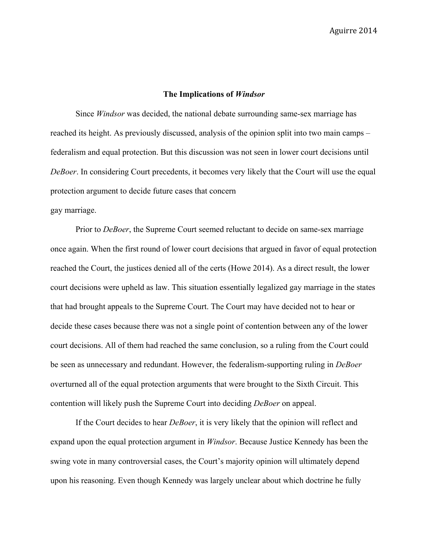### **The Implications of** *Windsor*

Since *Windsor* was decided, the national debate surrounding same-sex marriage has reached its height. As previously discussed, analysis of the opinion split into two main camps – federalism and equal protection. But this discussion was not seen in lower court decisions until *DeBoer*. In considering Court precedents, it becomes very likely that the Court will use the equal protection argument to decide future cases that concern

# gay marriage.

Prior to *DeBoer*, the Supreme Court seemed reluctant to decide on same-sex marriage once again. When the first round of lower court decisions that argued in favor of equal protection reached the Court, the justices denied all of the certs (Howe 2014). As a direct result, the lower court decisions were upheld as law. This situation essentially legalized gay marriage in the states that had brought appeals to the Supreme Court. The Court may have decided not to hear or decide these cases because there was not a single point of contention between any of the lower court decisions. All of them had reached the same conclusion, so a ruling from the Court could be seen as unnecessary and redundant. However, the federalism-supporting ruling in *DeBoer* overturned all of the equal protection arguments that were brought to the Sixth Circuit. This contention will likely push the Supreme Court into deciding *DeBoer* on appeal.

If the Court decides to hear *DeBoer*, it is very likely that the opinion will reflect and expand upon the equal protection argument in *Windsor*. Because Justice Kennedy has been the swing vote in many controversial cases, the Court's majority opinion will ultimately depend upon his reasoning. Even though Kennedy was largely unclear about which doctrine he fully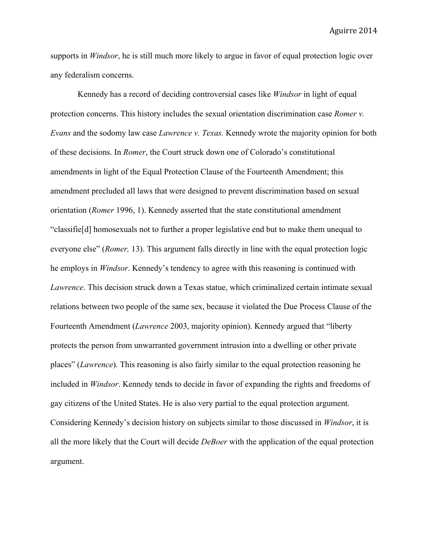supports in *Windsor*, he is still much more likely to argue in favor of equal protection logic over any federalism concerns.

Kennedy has a record of deciding controversial cases like *Windsor* in light of equal protection concerns. This history includes the sexual orientation discrimination case *Romer v. Evans* and the sodomy law case *Lawrence v. Texas.* Kennedy wrote the majority opinion for both of these decisions. In *Romer*, the Court struck down one of Colorado's constitutional amendments in light of the Equal Protection Clause of the Fourteenth Amendment; this amendment precluded all laws that were designed to prevent discrimination based on sexual orientation (*Romer* 1996, 1). Kennedy asserted that the state constitutional amendment "classifie[d] homosexuals not to further a proper legislative end but to make them unequal to everyone else" (*Romer,* 13). This argument falls directly in line with the equal protection logic he employs in *Windsor*. Kennedy's tendency to agree with this reasoning is continued with *Lawrence*. This decision struck down a Texas statue, which criminalized certain intimate sexual relations between two people of the same sex, because it violated the Due Process Clause of the Fourteenth Amendment (*Lawrence* 2003, majority opinion). Kennedy argued that "liberty protects the person from unwarranted government intrusion into a dwelling or other private places" (*Lawrence*). This reasoning is also fairly similar to the equal protection reasoning he included in *Windsor*. Kennedy tends to decide in favor of expanding the rights and freedoms of gay citizens of the United States. He is also very partial to the equal protection argument. Considering Kennedy's decision history on subjects similar to those discussed in *Windsor*, it is all the more likely that the Court will decide *DeBoer* with the application of the equal protection argument.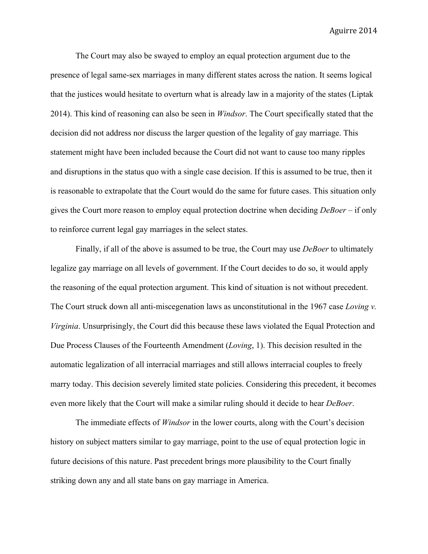The Court may also be swayed to employ an equal protection argument due to the presence of legal same-sex marriages in many different states across the nation. It seems logical that the justices would hesitate to overturn what is already law in a majority of the states (Liptak 2014). This kind of reasoning can also be seen in *Windsor*. The Court specifically stated that the decision did not address nor discuss the larger question of the legality of gay marriage. This statement might have been included because the Court did not want to cause too many ripples and disruptions in the status quo with a single case decision. If this is assumed to be true, then it is reasonable to extrapolate that the Court would do the same for future cases. This situation only gives the Court more reason to employ equal protection doctrine when deciding *DeBoer* – if only to reinforce current legal gay marriages in the select states.

Finally, if all of the above is assumed to be true, the Court may use *DeBoer* to ultimately legalize gay marriage on all levels of government. If the Court decides to do so, it would apply the reasoning of the equal protection argument. This kind of situation is not without precedent. The Court struck down all anti-miscegenation laws as unconstitutional in the 1967 case *Loving v. Virginia*. Unsurprisingly, the Court did this because these laws violated the Equal Protection and Due Process Clauses of the Fourteenth Amendment (*Loving*, 1). This decision resulted in the automatic legalization of all interracial marriages and still allows interracial couples to freely marry today. This decision severely limited state policies. Considering this precedent, it becomes even more likely that the Court will make a similar ruling should it decide to hear *DeBoer*.

The immediate effects of *Windsor* in the lower courts, along with the Court's decision history on subject matters similar to gay marriage, point to the use of equal protection logic in future decisions of this nature. Past precedent brings more plausibility to the Court finally striking down any and all state bans on gay marriage in America.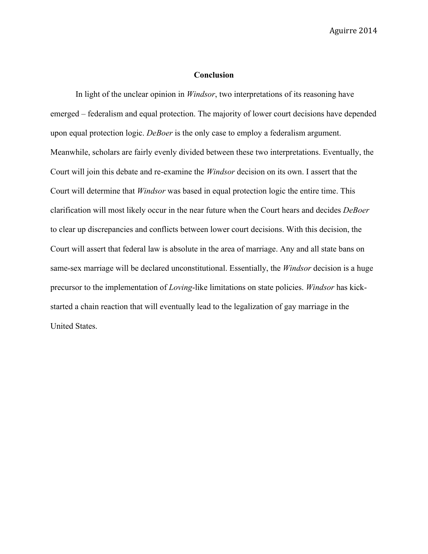# **Conclusion**

In light of the unclear opinion in *Windsor*, two interpretations of its reasoning have emerged – federalism and equal protection. The majority of lower court decisions have depended upon equal protection logic. *DeBoer* is the only case to employ a federalism argument. Meanwhile, scholars are fairly evenly divided between these two interpretations. Eventually, the Court will join this debate and re-examine the *Windsor* decision on its own. I assert that the Court will determine that *Windsor* was based in equal protection logic the entire time. This clarification will most likely occur in the near future when the Court hears and decides *DeBoer* to clear up discrepancies and conflicts between lower court decisions. With this decision, the Court will assert that federal law is absolute in the area of marriage. Any and all state bans on same-sex marriage will be declared unconstitutional. Essentially, the *Windsor* decision is a huge precursor to the implementation of *Loving*-like limitations on state policies. *Windsor* has kickstarted a chain reaction that will eventually lead to the legalization of gay marriage in the United States.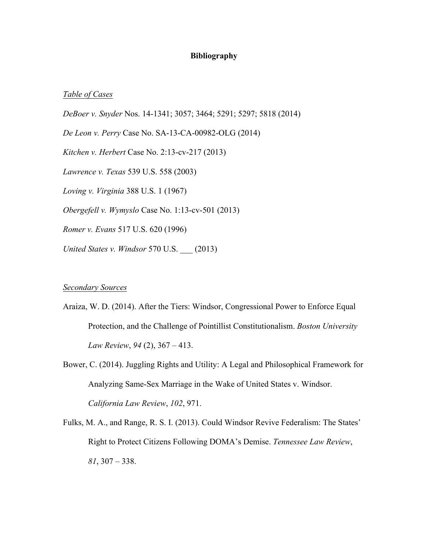# **Bibliography**

### *Table of Cases*

*DeBoer v. Snyder* Nos. 14-1341; 3057; 3464; 5291; 5297; 5818 (2014) *De Leon v. Perry* Case No. SA-13-CA-00982-OLG (2014) *Kitchen v. Herbert* Case No. 2:13-cv-217 (2013) *Lawrence v. Texas* 539 U.S. 558 (2003) *Loving v. Virginia* 388 U.S. 1 (1967) *Obergefell v. Wymyslo* Case No. 1:13-cv-501 (2013) *Romer v. Evans* 517 U.S. 620 (1996) *United States v. Windsor* 570 U.S. \_\_\_ (2013)

## *Secondary Sources*

Araiza, W. D. (2014). After the Tiers: Windsor, Congressional Power to Enforce Equal Protection, and the Challenge of Pointillist Constitutionalism. *Boston University Law Review*, *94* (2), 367 – 413.

Bower, C. (2014). Juggling Rights and Utility: A Legal and Philosophical Framework for Analyzing Same-Sex Marriage in the Wake of United States v. Windsor. *California Law Review*, *102*, 971.

Fulks, M. A., and Range, R. S. I. (2013). Could Windsor Revive Federalism: The States' Right to Protect Citizens Following DOMA's Demise. *Tennessee Law Review*, *81*, 307 – 338.